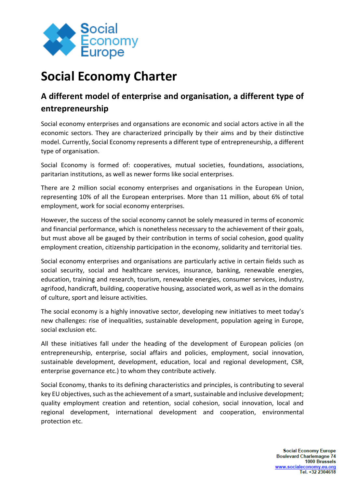

## **Social Economy Charter**

## **A different model of enterprise and organisation, a different type of entrepreneurship**

Social economy enterprises and organsations are economic and social actors active in all the economic sectors. They are characterized principally by their aims and by their distinctive model. Currently, Social Economy represents a different type of entrepreneurship, a different type of organisation.

Social Economy is formed of: cooperatives, mutual societies, foundations, associations, paritarian institutions, as well as newer forms like social enterprises.

There are 2 million social economy enterprises and organisations in the European Union, representing 10% of all the European enterprises. More than 11 million, about 6% of total employment, work for social economy enterprises.

However, the success of the social economy cannot be solely measured in terms of economic and financial performance, which is nonetheless necessary to the achievement of their goals, but must above all be gauged by their contribution in terms of social cohesion, good quality employment creation, citizenship participation in the economy, solidarity and territorial ties.

Social economy enterprises and organisations are particularly active in certain fields such as social security, social and healthcare services, insurance, banking, renewable energies, education, training and research, tourism, renewable energies, consumer services, industry, agrifood, handicraft, building, cooperative housing, associated work, as well as in the domains of culture, sport and leisure activities.

The social economy is a highly innovative sector, developing new initiatives to meet today's new challenges: rise of inequalities, sustainable development, population ageing in Europe, social exclusion etc.

All these initiatives fall under the heading of the development of European policies (on entrepreneurship, enterprise, social affairs and policies, employment, social innovation, sustainable development, development, education, local and regional development, CSR, enterprise governance etc.) to whom they contribute actively.

Social Economy, thanks to its defining characteristics and principles, is contributing to several key EU objectives, such as the achievement of a smart, sustainable and inclusive development; quality employment creation and retention, social cohesion, social innovation, local and regional development, international development and cooperation, environmental protection etc.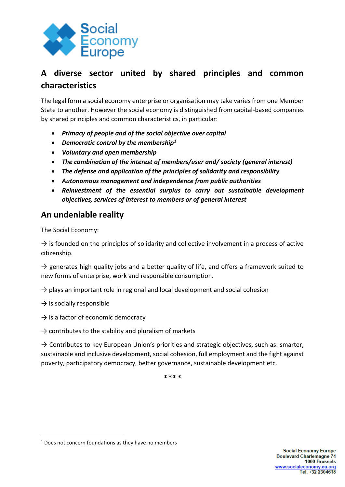

## **A diverse sector united by shared principles and common characteristics**

The legal form a social economy enterprise or organisation may take varies from one Member State to another. However the social economy is distinguished from capital-based companies by shared principles and common characteristics, in particular:

- *Primacy of people and of the social objective over capital*
- *Democratic control by the membership<sup>1</sup>*
- *Voluntary and open membership*
- *The combination of the interest of members/user and/ society (general interest)*
- *The defense and application of the principles of solidarity and responsibility*
- *Autonomous management and independence from public authorities*
- *Reinvestment of the essential surplus to carry out sustainable development objectives, services of interest to members or of general interest*

## **An undeniable reality**

The Social Economy:

 $\rightarrow$  is founded on the principles of solidarity and collective involvement in a process of active citizenship.

 $\rightarrow$  generates high quality jobs and a better quality of life, and offers a framework suited to new forms of enterprise, work and responsible consumption.

 $\rightarrow$  plays an important role in regional and local development and social cohesion

 $\rightarrow$  is socially responsible

 $\rightarrow$  is a factor of economic democracy

 $\rightarrow$  contributes to the stability and pluralism of markets

 $\rightarrow$  Contributes to key European Union's priorities and strategic objectives, such as: smarter, sustainable and inclusive development, social cohesion, full employment and the fight against poverty, participatory democracy, better governance, sustainable development etc.

\*\*\*\*

 $1$  Does not concern foundations as they have no members